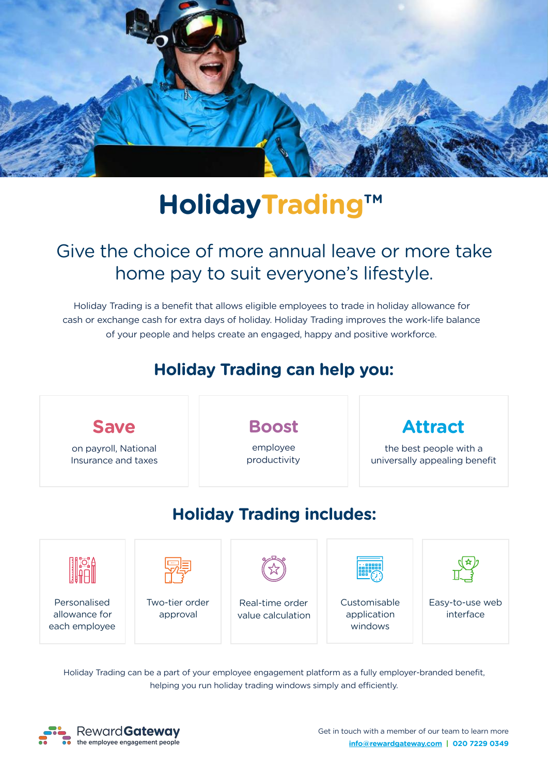

# **HolidayTrading™**

## Give the choice of more annual leave or more take home pay to suit everyone's lifestyle.

Holiday Trading is a benefit that allows eligible employees to trade in holiday allowance for cash or exchange cash for extra days of holiday. Holiday Trading improves the work-life balance of your people and helps create an engaged, happy and positive workforce.

## **Holiday Trading can help you:**



Holiday Trading can be a part of your employee engagement platform as a fully employer-branded benefit, helping you run holiday trading windows simply and efficiently.